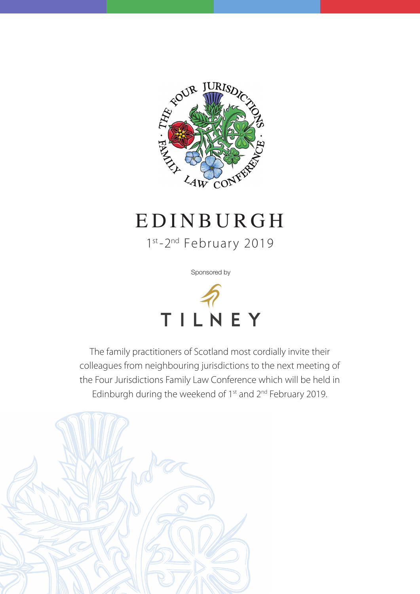

# EDINBURGH

1st-2<sup>nd</sup> February 2019

Sponsored by



The family practitioners of Scotland most cordially invite their colleagues from neighbouring jurisdictions to the next meeting of the Four Jurisdictions Family Law Conference which will be held in Edinburgh during the weekend of 1<sup>st</sup> and 2<sup>nd</sup> February 2019.

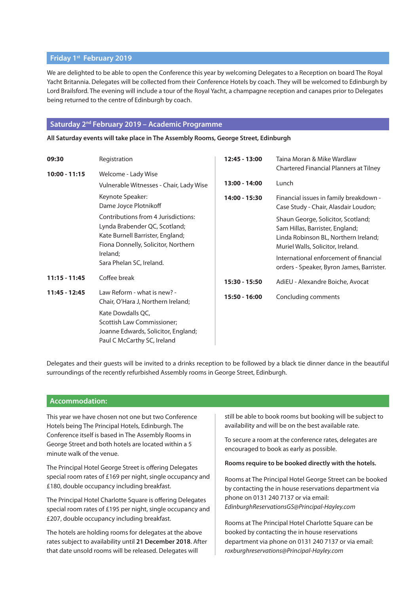#### **Friday 1st February 2019**

We are delighted to be able to open the Conference this year by welcoming Delegates to a Reception on board The Royal Yacht Britannia. Delegates will be collected from their Conference Hotels by coach. They will be welcomed to Edinburgh by Lord Brailsford. The evening will include a tour of the Royal Yacht, a champagne reception and canapes prior to Delegates being returned to the centre of Edinburgh by coach.

#### **Saturday 2nd February 2019 – Academic Programme**

**All Saturday events will take place in The Assembly Rooms, George Street, Edinburgh**

| 09:30           | Registration                                                                                                                                                                                             | 12:45 - 13:00 | Taina Moran & Mike Wardlaw                                                                                                                                                                                                                                                     |
|-----------------|----------------------------------------------------------------------------------------------------------------------------------------------------------------------------------------------------------|---------------|--------------------------------------------------------------------------------------------------------------------------------------------------------------------------------------------------------------------------------------------------------------------------------|
| 10:00 - 11:15   | Welcome - Lady Wise<br>Vulnerable Witnesses - Chair, Lady Wise                                                                                                                                           | 13:00 - 14:00 | Chartered Financial Planners at Tilney<br>Lunch                                                                                                                                                                                                                                |
|                 | Keynote Speaker:<br>Dame Joyce Plotnikoff<br>Contributions from 4 Jurisdictions:<br>Lynda Brabender QC, Scotland;<br>Kate Burnell Barrister, England;<br>Fiona Donnelly, Solicitor, Northern<br>Ireland; | 14:00 - 15:30 | Financial issues in family breakdown -<br>Case Study - Chair, Alasdair Loudon;<br>Shaun George, Solicitor, Scotland;<br>Sam Hillas, Barrister, England;<br>Linda Robinson BL, Northern Ireland;<br>Muriel Walls, Solicitor, Ireland.<br>International enforcement of financial |
|                 | Sara Phelan SC, Ireland.                                                                                                                                                                                 |               | orders - Speaker, Byron James, Barrister.                                                                                                                                                                                                                                      |
| $11:15 - 11:45$ | Coffee break                                                                                                                                                                                             | 15:30 - 15:50 | AdiEU - Alexandre Boiche, Avocat                                                                                                                                                                                                                                               |
| 11:45 - 12:45   | Law Reform - what is new? -<br>Chair, O'Hara J, Northern Ireland;                                                                                                                                        | 15:50 - 16:00 | Concluding comments                                                                                                                                                                                                                                                            |
|                 | Kate Dowdalls QC,<br>Scottish Law Commissioner;<br>Joanne Edwards, Solicitor, England;<br>Paul C McCarthy SC, Ireland                                                                                    |               |                                                                                                                                                                                                                                                                                |

Delegates and their guests will be invited to a drinks reception to be followed by a black tie dinner dance in the beautiful surroundings of the recently refurbished Assembly rooms in George Street, Edinburgh.

#### **Accommodation:**

This year we have chosen not one but two Conference Hotels being The Principal Hotels, Edinburgh. The Conference itself is based in The Assembly Rooms in George Street and both hotels are located within a 5 minute walk of the venue.

The Principal Hotel George Street is offering Delegates special room rates of £169 per night, single occupancy and £180, double occupancy including breakfast.

The Principal Hotel Charlotte Square is offering Delegates special room rates of £195 per night, single occupancy and £207, double occupancy including breakfast.

The hotels are holding rooms for delegates at the above rates subject to availability until **21 December 2018**. After that date unsold rooms will be released. Delegates will

still be able to book rooms but booking will be subject to availability and will be on the best available rate.

To secure a room at the conference rates, delegates are encouraged to book as early as possible.

#### **Rooms require to be booked directly with the hotels.**

Rooms at The Principal Hotel George Street can be booked by contacting the in house reservations department via phone on 0131 240 7137 or via email: *EdinburghReservationsGS@Principal-Hayley.com* 

Rooms at The Principal Hotel Charlotte Square can be booked by contacting the in house reservations department via phone on 0131 240 7137 or via email: *roxburghreservations@Principal-Hayley.com*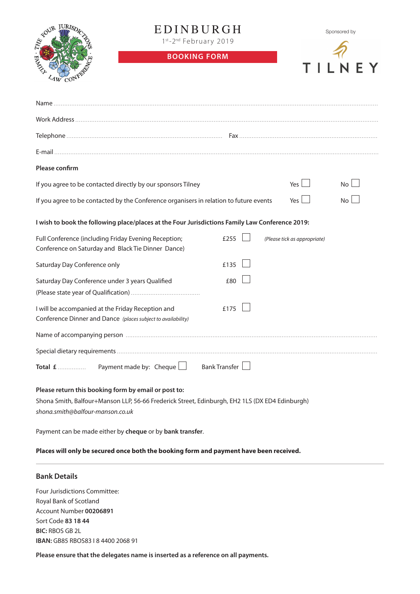

## **ED INBURGH**

1st-2<sup>nd</sup> February 2019

**BOOKING FORM**



| Please confirm                                                                                                                                                                             |      |                              |                 |  |  |
|--------------------------------------------------------------------------------------------------------------------------------------------------------------------------------------------|------|------------------------------|-----------------|--|--|
| If you agree to be contacted directly by our sponsors Tilney                                                                                                                               |      | Yes $\lfloor$                | No              |  |  |
| If you agree to be contacted by the Conference organisers in relation to future events                                                                                                     |      | Yes                          | No <sub>1</sub> |  |  |
| I wish to book the following place/places at the Four Jurisdictions Family Law Conference 2019:                                                                                            |      |                              |                 |  |  |
| Full Conference (including Friday Evening Reception;<br>Conference on Saturday and Black Tie Dinner Dance)                                                                                 | £255 | (Please tick as appropriate) |                 |  |  |
| Saturday Day Conference only                                                                                                                                                               | £135 |                              |                 |  |  |
| Saturday Day Conference under 3 years Qualified                                                                                                                                            | £80  |                              |                 |  |  |
| I will be accompanied at the Friday Reception and<br>Conference Dinner and Dance (places subject to availability)                                                                          | £175 |                              |                 |  |  |
|                                                                                                                                                                                            |      |                              |                 |  |  |
|                                                                                                                                                                                            |      |                              |                 |  |  |
| Payment made by: Cheque   Bank Transfer<br>Total £                                                                                                                                         |      |                              |                 |  |  |
| Please return this booking form by email or post to:<br>Shona Smith, Balfour+Manson LLP, 56-66 Frederick Street, Edinburgh, EH2 1LS (DX ED4 Edinburgh)<br>shona.smith@balfour-manson.co.uk |      |                              |                 |  |  |
|                                                                                                                                                                                            |      |                              |                 |  |  |

Payment can be made either by **cheque** or by **bank transfer**.

**Places will only be secured once both the booking form and payment have been received.** 

### **Bank Details**

Four Jurisdictions Committee: Royal Bank of Scotland Account Number **00206891** Sort Code **83 18 44 BIC:** RBOS GB 2L **IBAN:** GB85 RBOS83 I 8 4400 2068 91

**Please ensure that the delegates name is inserted as a reference on all payments.**